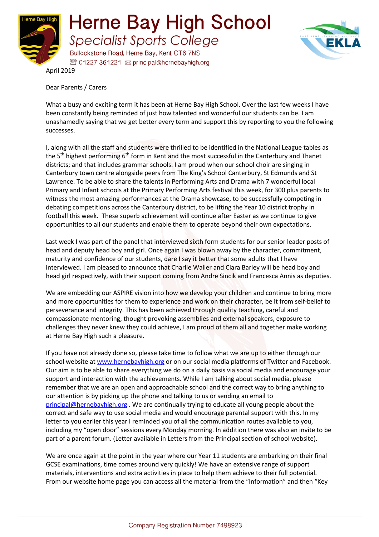



April 2019

Dear Parents / Carers

What a busy and exciting term it has been at Herne Bay High School. Over the last few weeks I have been constantly being reminded of just how talented and wonderful our students can be. I am unashamedly saying that we get better every term and support this by reporting to you the following successes.

I, along with all the staff and students were thrilled to be identified in the National League tables as the 5<sup>th</sup> highest performing 6<sup>th</sup> form in Kent and the most successful in the Canterbury and Thanet districts; and that includes grammar schools. I am proud when our school choir are singing in Canterbury town centre alongside peers from The King's School Canterbury, St Edmunds and St Lawrence. To be able to share the talents in Performing Arts and Drama with 7 wonderful local Primary and Infant schools at the Primary Performing Arts festival this week, for 300 plus parents to witness the most amazing performances at the Drama showcase, to be successfully competing in debating competitions across the Canterbury district, to be lifting the Year 10 district trophy in football this week. These superb achievement will continue after Easter as we continue to give opportunities to all our students and enable them to operate beyond their own expectations.

Last week I was part of the panel that interviewed sixth form students for our senior leader posts of head and deputy head boy and girl. Once again I was blown away by the character, commitment, maturity and confidence of our students, dare I say it better that some adults that I have interviewed. I am pleased to announce that Charlie Waller and Ciara Barley will be head boy and head girl respectively, with their support coming from Andre Sincik and Francesca Annis as deputies.

We are embedding our ASPIRE vision into how we develop your children and continue to bring more and more opportunities for them to experience and work on their character, be it from self-belief to perseverance and integrity. This has been achieved through quality teaching, careful and compassionate mentoring, thought provoking assemblies and external speakers, exposure to challenges they never knew they could achieve, I am proud of them all and together make working at Herne Bay High such a pleasure.

If you have not already done so, please take time to follow what we are up to either through our school website at www.hernebayhigh.org or on our social media platforms of Twitter and Facebook. Our aim is to be able to share everything we do on a daily basis via social media and encourage your support and interaction with the achievements. While I am talking about social media, please remember that we are an open and approachable school and the correct way to bring anything to our attention is by picking up the phone and talking to us or sending an email to principal@hernebayhigh.org . We are continually trying to educate all young people about the correct and safe way to use social media and would encourage parental support with this. In my letter to you earlier this year I reminded you of all the communication routes available to you, including my "open door" sessions every Monday morning. In addition there was also an invite to be part of a parent forum. (Letter available in Letters from the Principal section of school website).

We are once again at the point in the year where our Year 11 students are embarking on their final GCSE examinations, time comes around very quickly! We have an extensive range of support materials, interventions and extra activities in place to help them achieve to their full potential. From our website home page you can access all the material from the "Information" and then "Key